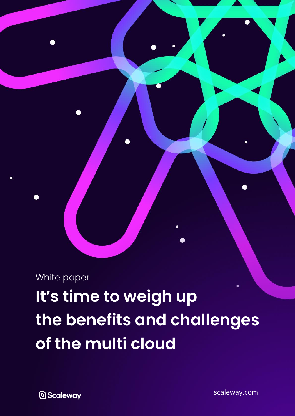White paper

**It's time to weigh up the benefits and challenges of the multi cloud**

**D** Scaleway

[scaleway.com](https://www.scaleway.com/)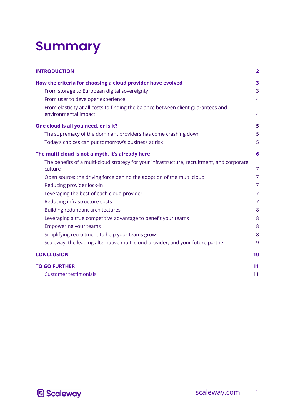## **Summary**

| <b>INTRODUCTION</b>                                                                                       | $\overline{2}$ |
|-----------------------------------------------------------------------------------------------------------|----------------|
| How the criteria for choosing a cloud provider have evolved                                               | 3              |
| From storage to European digital sovereignty                                                              | 3              |
| From user to developer experience                                                                         | $\overline{4}$ |
| From elasticity at all costs to finding the balance between client guarantees and<br>environmental impact | $\overline{4}$ |
| One cloud is all you need, or is it?                                                                      | 5              |
| The supremacy of the dominant providers has come crashing down                                            | 5              |
| Today's choices can put tomorrow's business at risk                                                       | 5              |
| The multi cloud is not a myth, it's already here                                                          | 6              |
| The benefits of a multi-cloud strategy for your infrastructure, recruitment, and corporate<br>culture     | $\overline{7}$ |
| Open source: the driving force behind the adoption of the multi cloud                                     | $\overline{7}$ |
| Reducing provider lock-in                                                                                 | $\overline{7}$ |
| Leveraging the best of each cloud provider                                                                | $\overline{7}$ |
| Reducing infrastructure costs                                                                             | $\overline{7}$ |
| Building redundant architectures                                                                          | 8              |
| Leveraging a true competitive advantage to benefit your teams                                             | 8              |
| <b>Empowering your teams</b>                                                                              | 8              |
| Simplifying recruitment to help your teams grow                                                           | 8              |
| Scaleway, the leading alternative multi-cloud provider, and your future partner                           | 9              |
| <b>CONCLUSION</b>                                                                                         | 10             |
| <b>TO GO FURTHER</b>                                                                                      | 11             |
| <b>Customer testimonials</b>                                                                              | 11             |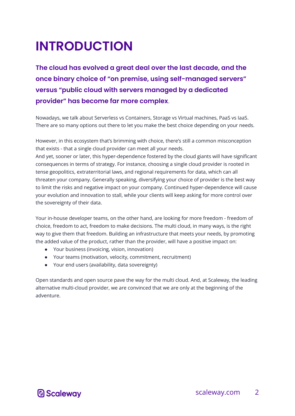## <span id="page-2-0"></span>**INTRODUCTION**

**The cloud has evolved a great deal over the last decade, and the once binary choice of "on premise, using self-managed servers" versus "public cloud with servers managed by a dedicated provider" has become far more complex**.

Nowadays, we talk about Serverless vs Containers, Storage vs Virtual machines, PaaS vs IaaS. There are so many options out there to let you make the best choice depending on your needs.

However, in this ecosystem that's brimming with choice, there's still a common misconception that exists - that a single cloud provider can meet all your needs.

And yet, sooner or later, this hyper-dependence fostered by the cloud giants will have significant consequences in terms of strategy. For instance, choosing a single cloud provider is rooted in tense geopolitics, extraterritorial laws, and regional requirements for data, which can all threaten your company. Generally speaking, diversifying your choice of provider is the best way to limit the risks and negative impact on your company. Continued hyper-dependence will cause your evolution and innovation to stall, while your clients will keep asking for more control over the sovereignty of their data.

Your in-house developer teams, on the other hand, are looking for more freedom - freedom of choice, freedom to act, freedom to make decisions. The multi cloud, in many ways, is the right way to give them that freedom. Building an infrastructure that meets your needs, by promoting the added value of the product, rather than the provider, will have a positive impact on:

- Your business (invoicing, vision, innovation)
- Your teams (motivation, velocity, commitment, recruitment)
- Your end users (availability, data sovereignty)

Open standards and open source pave the way for the multi cloud. And, at Scaleway, the leading alternative multi-cloud provider, we are convinced that we are only at the beginning of the adventure.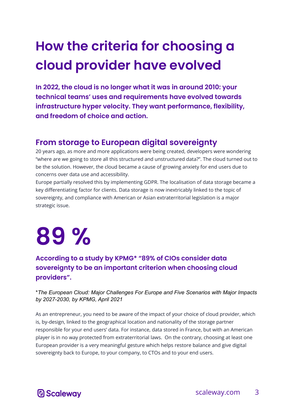## <span id="page-3-0"></span>**How the criteria for choosing a cloud provider have evolved**

**In 2022, the cloud is no longer what it was in around 2010: your technical teams' uses and requirements have evolved towards infrastructure hyper velocity. They want performance, flexibility, and freedom of choice and action.**

#### <span id="page-3-1"></span>**From storage to European digital sovereignty**

20 years ago, as more and more applications were being created, developers were wondering "where are we going to store all this structured and unstructured data?". The cloud turned out to be the solution. However, the cloud became a cause of growing anxiety for end users due to concerns over data use and accessibility.

Europe partially resolved this by implementing GDPR. The localisation of data storage became a key differentiating factor for clients. Data storage is now inextricably linked to the topic of sovereignty, and compliance with American or Asian extraterritorial legislation is a major strategic issue.

# **89 %**

#### **According to a study by KPMG\* "89% of CIOs consider data sovereignty to be an important criterion when choosing cloud providers".**

#### \**The European Cloud: Major Challenges For Europe and Five Scenarios with Major Impacts by 2027-2030, by KPMG, April 2021*

As an entrepreneur, you need to be aware of the impact of your choice of cloud provider, which is, by-design, linked to the geographical location and nationality of the storage partner responsible for your end users' data. For instance, data stored in France, but with an American player is in no way protected from extraterritorial laws. On the contrary, choosing at least one European provider is a very meaningful gesture which helps restore balance and give digital sovereignty back to Europe, to your company, to CTOs and to your end users.

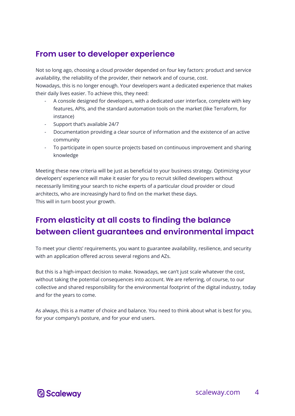#### <span id="page-4-0"></span>**From user to developer experience**

Not so long ago, choosing a cloud provider depended on four key factors: product and service availability, the reliability of the provider, their network and of course, cost.

Nowadays, this is no longer enough. Your developers want a dedicated experience that makes their daily lives easier. To achieve this, they need:

- A console designed for developers, with a dedicated user interface, complete with key features, APIs, and the standard automation tools on the market (like Terraform, for instance)
- Support that's available 24/7
- Documentation providing a clear source of information and the existence of an active community
- To participate in open source projects based on continuous improvement and sharing knowledge

Meeting these new criteria will be just as beneficial to your business strategy. Optimizing your developers' experience will make it easier for you to recruit skilled developers without necessarily limiting your search to niche experts of a particular cloud provider or cloud architects, who are increasingly hard to find on the market these days. This will in turn boost your growth.

#### <span id="page-4-1"></span>**From elasticity at all costs to finding the balance between client guarantees and environmental impact**

To meet your clients' requirements, you want to guarantee availability, resilience, and security with an application offered across several regions and AZs.

But this is a high-impact decision to make. Nowadays, we can't just scale whatever the cost, without taking the potential consequences into account. We are referring, of course, to our collective and shared responsibility for the environmental footprint of the digital industry, today and for the years to come.

As always, this is a matter of choice and balance. You need to think about what is best for you, for your company's posture, and for your end users.

#### **D** Scalewav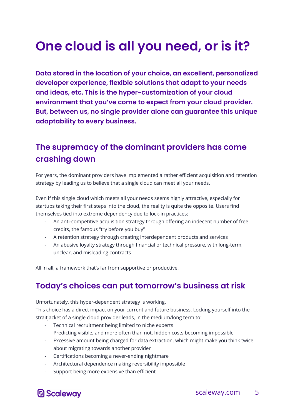## <span id="page-5-0"></span>**One cloud is all you need, or is it?**

**Data stored in the location of your choice, an excellent, personalized developer experience, flexible solutions that adapt to your needs and ideas, etc. This is the hyper-customization of your cloud environment that you've come to expect from your cloud provider. But, between us, no single provider alone can guarantee this unique adaptability to every business.**

#### <span id="page-5-1"></span>**The supremacy of the dominant providers has come crashing down**

For years, the dominant providers have implemented a rather efficient acquisition and retention strategy by leading us to believe that a single cloud can meet all your needs.

Even if this single cloud which meets all your needs seems highly attractive, especially for startups taking their first steps into the cloud, the reality is quite the opposite. Users find themselves tied into extreme dependency due to lock-in practices:

- An anti-competitive acquisition strategy through offering an indecent number of free credits, the famous "try before you buy"
- A retention strategy through creating interdependent products and services
- An abusive loyalty strategy through financial or technical pressure, with long-term, unclear, and misleading contracts

All in all, a framework that's far from supportive or productive.

#### <span id="page-5-2"></span>**Today's choices can put tomorrow's business at risk**

Unfortunately, this hyper-dependent strategy is working.

This choice has a direct impact on your current and future business. Locking yourself into the straitjacket of a single cloud provider leads, in the medium/long term to:

- Technical recruitment being limited to niche experts
- Predicting visible, and more often than not, hidden costs becoming impossible
- Excessive amount being charged for data extraction, which might make you think twice about migrating towards another provider
- Certifications becoming a never-ending nightmare
- Architectural dependence making reversibility impossible
- Support being more expensive than efficient

#### **D** Scaleway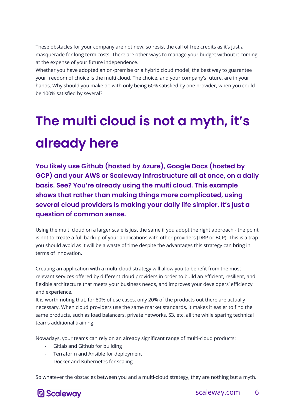These obstacles for your company are not new, so resist the call of free credits as it's just a masquerade for long term costs. There are other ways to manage your budget without it coming at the expense of your future independence.

Whether you have adopted an on-premise or a hybrid cloud model, the best way to guarantee your freedom of choice is the multi cloud. The choice, and your company's future, are in your hands. Why should you make do with only being 60% satisfied by one provider, when you could be 100% satisfied by several?

## <span id="page-6-0"></span>**The multi cloud is not a myth, it's already here**

**You likely use Github (hosted by Azure), Google Docs (hosted by GCP) and your AWS or Scaleway infrastructure all at once, on a daily basis. See? You're already using the multi cloud. This example shows that rather than making things more complicated, using several cloud providers is making your daily life simpler. It's just a question of common sense.**

Using the multi cloud on a larger scale is just the same if you adopt the right approach - the point is not to create a full backup of your applications with other providers (DRP or BCP). This is a trap you should avoid as it will be a waste of time despite the advantages this strategy can bring in terms of innovation.

Creating an application with a multi-cloud strategy will allow you to benefit from the most relevant services offered by different cloud providers in order to build an efficient, resilient, and flexible architecture that meets your business needs, and improves your developers' efficiency and experience.

It is worth noting that, for 80% of use cases, only 20% of the products out there are actually necessary. When cloud providers use the same market standards, it makes it easier to find the same products, such as load balancers, private networks, S3, etc. all the while sparing technical teams additional training.

Nowadays, your teams can rely on an already significant range of multi-cloud products:

- Gitlab and Github for building
- Terraform and Ansible for deployment
- Docker and Kubernetes for scaling

So whatever the obstacles between you and a multi-cloud strategy, they are nothing but a myth.

#### **D** Scaleway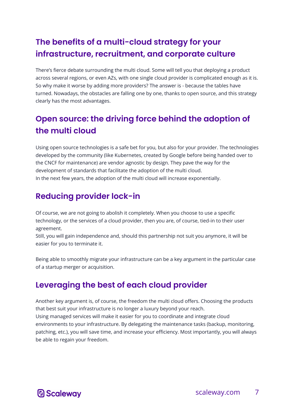#### <span id="page-7-0"></span>**The benefits of a multi-cloud strategy for your infrastructure, recruitment, and corporate culture**

There's fierce debate surrounding the multi cloud. Some will tell you that deploying a product across several regions, or even AZs, with one single cloud provider is complicated enough as it is. So why make it worse by adding more providers? The answer is - because the tables have turned. Nowadays, the obstacles are falling one by one, thanks to open source, and this strategy clearly has the most advantages.

#### <span id="page-7-1"></span>**Open source: the driving force behind the adoption of the multi cloud**

Using open source technologies is a safe bet for you, but also for your provider. The technologies developed by the community (like Kubernetes, created by Google before being handed over to the CNCF for maintenance) are vendor agnostic by design. They pave the way for the development of standards that facilitate the adoption of the multi cloud. In the next few years, the adoption of the multi cloud will increase exponentially.

#### <span id="page-7-2"></span>**Reducing provider lock-in**

Of course, we are not going to abolish it completely. When you choose to use a specific technology, or the services of a cloud provider, then you are, of course, tied-in to their user agreement.

Still, you will gain independence and, should this partnership not suit you anymore, it will be easier for you to terminate it.

Being able to smoothly migrate your infrastructure can be a key argument in the particular case of a startup merger or acquisition.

#### <span id="page-7-3"></span>**Leveraging the best of each cloud provider**

Another key argument is, of course, the freedom the multi cloud offers. Choosing the products that best suit your infrastructure is no longer a luxury beyond your reach. Using managed services will make it easier for you to coordinate and integrate cloud environments to your infrastructure. By delegating the maintenance tasks (backup, monitoring, patching, etc.), you will save time, and increase your efficiency. Most importantly, you will always be able to regain your freedom.

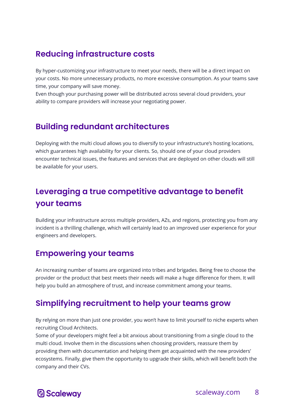#### **Reducing infrastructure costs**

By hyper-customizing your infrastructure to meet your needs, there will be a direct impact on your costs. No more unnecessary products, no more excessive consumption. As your teams save time, your company will save money.

Even though your purchasing power will be distributed across several cloud providers, your ability to compare providers will increase your negotiating power.

#### <span id="page-8-0"></span>**Building redundant architectures**

Deploying with the multi cloud allows you to diversify to your infrastructure's hosting locations, which guarantees high availability for your clients. So, should one of your cloud providers encounter technical issues, the features and services that are deployed on other clouds will still be available for your users.

#### <span id="page-8-1"></span>**Leveraging a true competitive advantage to benefit your teams**

Building your infrastructure across multiple providers, AZs, and regions, protecting you from any incident is a thrilling challenge, which will certainly lead to an improved user experience for your engineers and developers.

#### <span id="page-8-2"></span>**Empowering your teams**

An increasing number of teams are organized into tribes and brigades. Being free to choose the provider or the product that best meets their needs will make a huge difference for them. It will help you build an atmosphere of trust, and increase commitment among your teams.

#### <span id="page-8-3"></span>**Simplifying recruitment to help your teams grow**

By relying on more than just one provider, you won't have to limit yourself to niche experts when recruiting Cloud Architects.

Some of your developers might feel a bit anxious about transitioning from a single cloud to the multi cloud. Involve them in the discussions when choosing providers, reassure them by providing them with documentation and helping them get acquainted with the new providers' ecosystems. Finally, give them the opportunity to upgrade their skills, which will benefit both the company and their CVs.

#### **D** Scalewav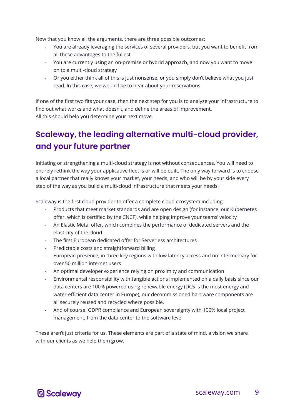Now that you know all the arguments, there are three possible outcomes:

- You are already leveraging the services of several providers, but you want to benefit from all these advantages to the fullest
- You are currently using an on-premise or hybrid approach, and now you want to move on to a multi-cloud strategy
- Or you either think all of this is just nonsense, or you simply don't believe what you just read. In this case, we would like to hear about your reservations

If one of the first two fits your case, then the next step for you is to analyze your infrastructure to find out what works and what doesn't, and define the areas of improvement. All this should help you determine your next move.

#### <span id="page-9-0"></span>**Scaleway, the leading alternative multi-cloud provider, and your future partner**

Initiating or strengthening a multi-cloud strategy is not without consequences. You will need to entirely rethink the way your applicative fleet is or will be built. The only way forward is to choose a local partner that really knows your market, your needs, and who will be by your side every step of the way as you build a multi-cloud infrastructure that meets your needs.

Scaleway is the first cloud provider to offer a complete cloud ecosystem including:

- Products that meet market standards and are open design (for instance, our Kubernetes offer, which is certified by the CNCF), while helping improve your teams' velocity
- An Elastic Metal offer, which combines the performance of dedicated servers and the elasticity of the cloud
- The first European dedicated offer for Serverless architectures
- Predictable costs and straightforward billing
- European presence, in three key regions with low latency access and no intermediary for over 50 million internet users
- An optimal developer experience relying on proximity and communication
- Environmental responsibility with tangible actions implemented on a daily basis since our data centers are 100% powered using renewable energy (DC5 is the most energy and water-efficient data center in Europe), our decommissioned hardware components are all securely reused and recycled where possible.
- And of course, GDPR compliance and European sovereignty with 100% local project management, from the data center to the software level

These aren't just criteria for us. These elements are part of a state of mind, a vision we share with our clients as we help them grow.

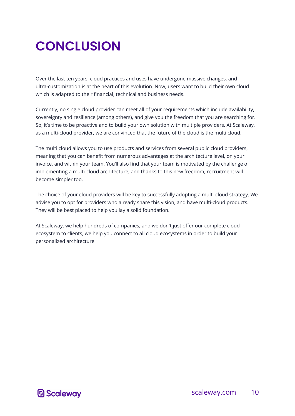### <span id="page-10-0"></span>**CONCLUSION**

Over the last ten years, cloud practices and uses have undergone massive changes, and ultra-customization is at the heart of this evolution. Now, users want to build their own cloud which is adapted to their financial, technical and business needs.

Currently, no single cloud provider can meet all of your requirements which include availability, sovereignty and resilience (among others), and give you the freedom that you are searching for. So, it's time to be proactive and to build your own solution with multiple providers. At Scaleway, as a multi-cloud provider, we are convinced that the future of the cloud is the multi cloud.

The multi cloud allows you to use products and services from several public cloud providers, meaning that you can benefit from numerous advantages at the architecture level, on your invoice, and within your team. You'll also find that your team is motivated by the challenge of implementing a multi-cloud architecture, and thanks to this new freedom, recruitment will become simpler too.

The choice of your cloud providers will be key to successfully adopting a multi-cloud strategy. We advise you to opt for providers who already share this vision, and have multi-cloud products. They will be best placed to help you lay a solid foundation.

At Scaleway, we help hundreds of companies, and we don't just offer our complete cloud ecosystem to clients, we help you connect to all cloud ecosystems in order to build your personalized architecture.

**D** Scalewav